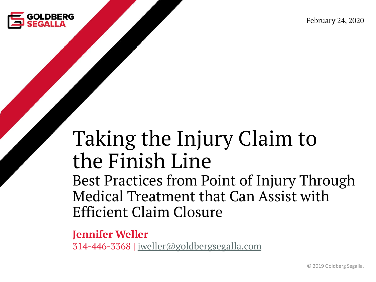

February 24, 2020

#### Taking the Injury Claim to the Finish Line

Best Practices from Point of Injury Through Medical Treatment that Can Assist with Efficient Claim Closure

**Jennifer Weller** 314-446-3368 | [jweller@goldbergsegalla.com](mailto:jweller@goldbergsegalla.com)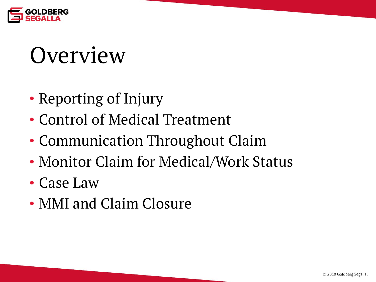

#### **Overview**

- Reporting of Injury
- Control of Medical Treatment
- Communication Throughout Claim
- Monitor Claim for Medical/Work Status
- Case Law
- MMI and Claim Closure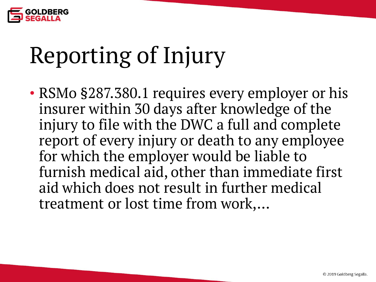

## Reporting of Injury

• RSMo §287.380.1 requires every employer or his insurer within 30 days after knowledge of the injury to file with the DWC a full and complete report of every injury or death to any employee for which the employer would be liable to furnish medical aid, other than immediate first aid which does not result in further medical treatment or lost time from work,…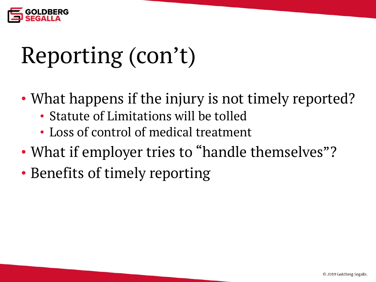

### Reporting (con't)

- What happens if the injury is not timely reported?
	- Statute of Limitations will be tolled
	- Loss of control of medical treatment
- What if employer tries to "handle themselves"?
- Benefits of timely reporting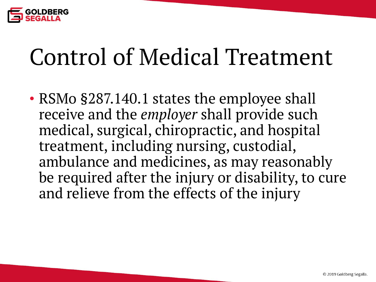

#### Control of Medical Treatment

• RSMo §287.140.1 states the employee shall receive and the *employer* shall provide such medical, surgical, chiropractic, and hospital treatment, including nursing, custodial, ambulance and medicines, as may reasonably be required after the injury or disability, to cure and relieve from the effects of the injury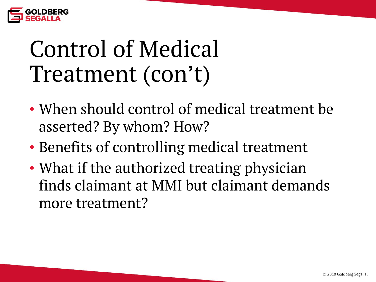

#### Control of Medical Treatment (con't)

- When should control of medical treatment be asserted? By whom? How?
- Benefits of controlling medical treatment
- What if the authorized treating physician finds claimant at MMI but claimant demands more treatment?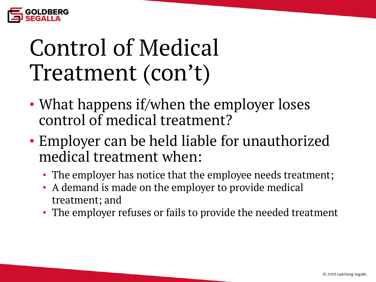

#### Control of Medical Treatment (con't)

- What happens if/when the employer loses control of medical treatment?
- Employer can be held liable for unauthorized medical treatment when:
	- The employer has notice that the employee needs treatment;
	- A demand is made on the employer to provide medical treatment; and
	- The employer refuses or fails to provide the needed treatment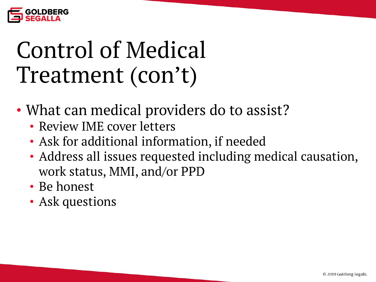

#### Control of Medical Treatment (con't)

- What can medical providers do to assist?
	- Review IME cover letters
	- Ask for additional information, if needed
	- Address all issues requested including medical causation, work status, MMI, and/or PPD
	- Be honest
	- Ask questions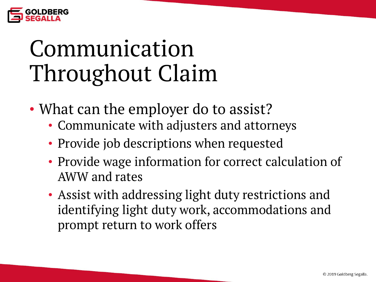

#### Communication Throughout Claim

- What can the employer do to assist?
	- Communicate with adjusters and attorneys
	- Provide job descriptions when requested
	- Provide wage information for correct calculation of AWW and rates
	- Assist with addressing light duty restrictions and identifying light duty work, accommodations and prompt return to work offers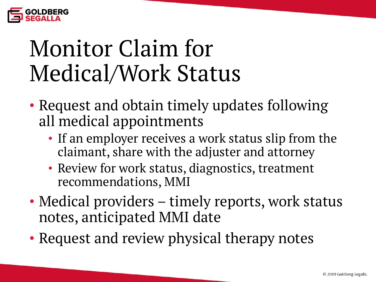

#### Monitor Claim for Medical/Work Status

- Request and obtain timely updates following all medical appointments
	- If an employer receives a work status slip from the claimant, share with the adjuster and attorney
	- Review for work status, diagnostics, treatment recommendations, MMI
- Medical providers timely reports, work status notes, anticipated MMI date
- Request and review physical therapy notes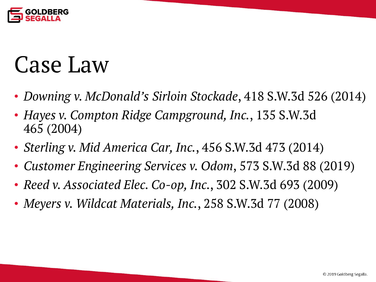

#### Case Law

- *Downing v. McDonald's Sirloin Stockade*, 418 S.W.3d 526 (2014)
- *Hayes v. Compton Ridge Campground, Inc.*, 135 S.W.3d 465 (2004)
- *Sterling v. Mid America Car, Inc.*, 456 S.W.3d 473 (2014)
- *Customer Engineering Services v. Odom*, 573 S.W.3d 88 (2019)
- *Reed v. Associated Elec. Co-op, Inc.*, 302 S.W.3d 693 (2009)
- *Meyers v. Wildcat Materials, Inc.*, 258 S.W.3d 77 (2008)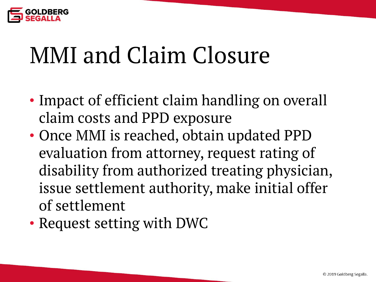

#### MMI and Claim Closure

- Impact of efficient claim handling on overall claim costs and PPD exposure
- Once MMI is reached, obtain updated PPD evaluation from attorney, request rating of disability from authorized treating physician, issue settlement authority, make initial offer of settlement
- Request setting with DWC